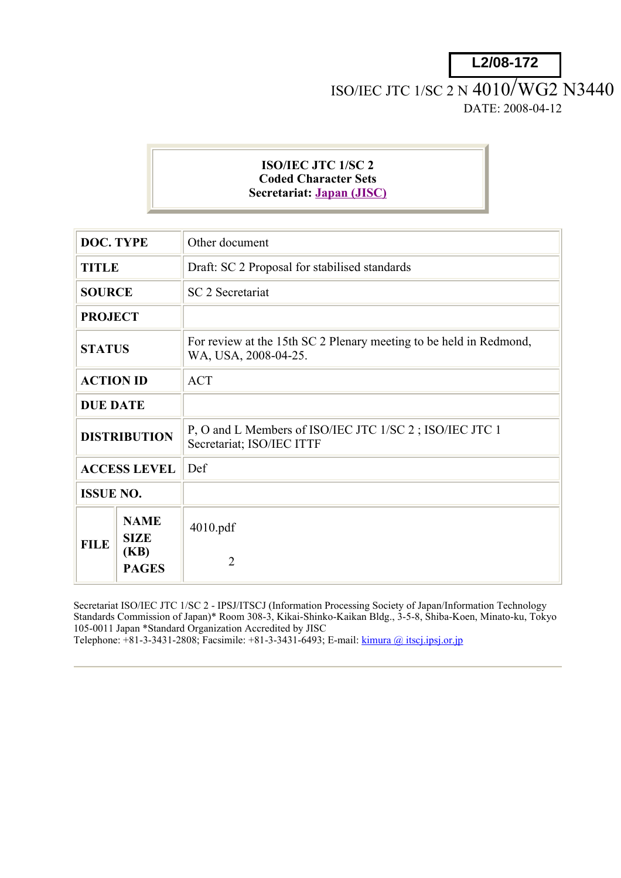**L2/08-172**

## ISO/IEC JTC 1/SC 2 N 4010/WG2 N3440 DATE: 2008-04-12

## **ISO/IEC JTC 1/SC 2 Coded Character Sets Secretariat: Japan (JISC)**

| <b>DOC. TYPE</b>    |                                    | Other document                                                                             |
|---------------------|------------------------------------|--------------------------------------------------------------------------------------------|
| <b>TITLE</b>        |                                    | Draft: SC 2 Proposal for stabilised standards                                              |
| <b>SOURCE</b>       |                                    | <b>SC 2 Secretariat</b>                                                                    |
| <b>PROJECT</b>      |                                    |                                                                                            |
| <b>STATUS</b>       |                                    | For review at the 15th SC 2 Plenary meeting to be held in Redmond,<br>WA, USA, 2008-04-25. |
| <b>ACTION ID</b>    |                                    | <b>ACT</b>                                                                                 |
| <b>DUE DATE</b>     |                                    |                                                                                            |
| <b>DISTRIBUTION</b> |                                    | P, O and L Members of ISO/IEC JTC 1/SC 2; ISO/IEC JTC 1<br>Secretariat; ISO/IEC ITTF       |
| <b>ACCESS LEVEL</b> |                                    | Def                                                                                        |
| <b>ISSUE NO.</b>    |                                    |                                                                                            |
| <b>FILE</b>         | <b>NAME</b><br><b>SIZE</b><br>(KB) | 4010.pdf                                                                                   |
|                     | <b>PAGES</b>                       | $\overline{2}$                                                                             |

Secretariat ISO/IEC JTC 1/SC 2 - IPSJ/ITSCJ (Information Processing Society of Japan/Information Technology Standards Commission of Japan)\* Room 308-3, Kikai-Shinko-Kaikan Bldg., 3-5-8, Shiba-Koen, Minato-ku, Tokyo 105-0011 Japan \*Standard Organization Accredited by JISC

Telephone:  $+81-3-3431-2808$ ; Facsimile:  $+81-3-3431-6493$ ; E-mail: kimura @ itscj.ipsj.or.jp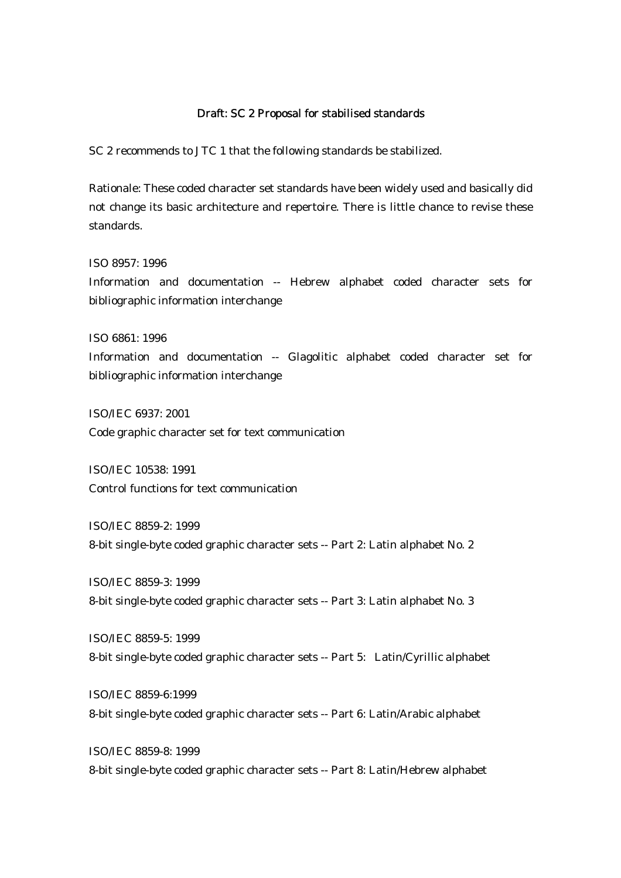## Draft: SC 2 Proposal for stabilised standards

SC 2 recommends to JTC 1 that the following standards be stabilized.

Rationale: These coded character set standards have been widely used and basically did not change its basic architecture and repertoire. There is little chance to revise these standards.

ISO 8957: 1996 Information and documentation -- Hebrew alphabet coded character sets for bibliographic information interchange

ISO 6861: 1996

Information and documentation -- Glagolitic alphabet coded character set for bibliographic information interchange

ISO/IEC 6937: 2001 Code graphic character set for text communication

ISO/IEC 10538: 1991 Control functions for text communication

ISO/IEC 8859-2: 1999 8-bit single-byte coded graphic character sets -- Part 2: Latin alphabet No. 2

ISO/IEC 8859-3: 1999 8-bit single-byte coded graphic character sets -- Part 3: Latin alphabet No. 3

ISO/IEC 8859-5: 1999 8-bit single-byte coded graphic character sets -- Part 5: Latin/Cyrillic alphabet

ISO/IEC 8859-6:1999 8-bit single-byte coded graphic character sets -- Part 6: Latin/Arabic alphabet

ISO/IEC 8859-8: 1999 8-bit single-byte coded graphic character sets -- Part 8: Latin/Hebrew alphabet